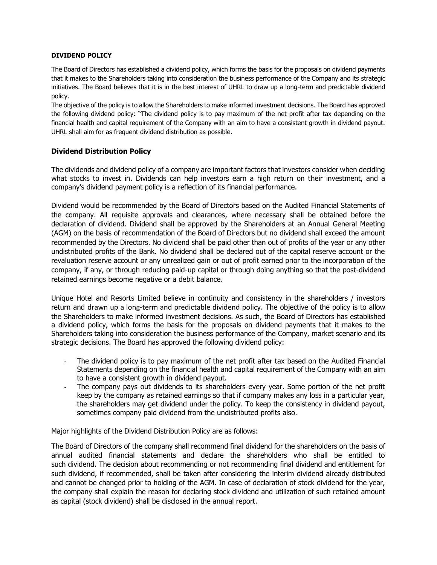## **DIVIDEND POLICY**

The Board of Directors has established a dividend policy, which forms the basis for the proposals on dividend payments that it makes to the Shareholders taking into consideration the business performance of the Company and its strategic initiatives. The Board believes that it is in the best interest of UHRL to draw up a long-term and predictable dividend policy.

The objective of the policy is to allow the Shareholders to make informed investment decisions. The Board has approved the following dividend policy: "The dividend policy is to pay maximum of the net profit after tax depending on the financial health and capital requirement of the Company with an aim to have a consistent growth in dividend payout. UHRL shall aim for as frequent dividend distribution as possible.

## **Dividend Distribution Policy**

The dividends and dividend policy of a company are important factors that investors consider when deciding what stocks to invest in. Dividends can help investors earn a high return on their investment, and a company's dividend payment policy is a reflection of its financial performance.

Dividend would be recommended by the Board of Directors based on the Audited Financial Statements of the company. All requisite approvals and clearances, where necessary shall be obtained before the declaration of dividend. Dividend shall be approved by the Shareholders at an Annual General Meeting (AGM) on the basis of recommendation of the Board of Directors but no dividend shall exceed the amount recommended by the Directors. No dividend shall be paid other than out of profits of the year or any other undistributed profits of the Bank. No dividend shall be declared out of the capital reserve account or the revaluation reserve account or any unrealized gain or out of profit earned prior to the incorporation of the company, if any, or through reducing paid-up capital or through doing anything so that the post-dividend retained earnings become negative or a debit balance.

Unique Hotel and Resorts Limited believe in continuity and consistency in the shareholders / investors return and drawn up a long-term and predictable dividend policy. The objective of the policy is to allow the Shareholders to make informed investment decisions. As such, the Board of Directors has established a dividend policy, which forms the basis for the proposals on dividend payments that it makes to the Shareholders taking into consideration the business performance of the Company, market scenario and its strategic decisions. The Board has approved the following dividend policy:

- The dividend policy is to pay maximum of the net profit after tax based on the Audited Financial Statements depending on the financial health and capital requirement of the Company with an aim to have a consistent growth in dividend payout.
- The company pays out dividends to its shareholders every year. Some portion of the net profit keep by the company as retained earnings so that if company makes any loss in a particular year, the shareholders may get dividend under the policy. To keep the consistency in dividend payout, sometimes company paid dividend from the undistributed profits also.

Major highlights of the Dividend Distribution Policy are as follows:

The Board of Directors of the company shall recommend final dividend for the shareholders on the basis of annual audited financial statements and declare the shareholders who shall be entitled to such dividend. The decision about recommending or not recommending final dividend and entitlement for such dividend, if recommended, shall be taken after considering the interim dividend already distributed and cannot be changed prior to holding of the AGM. In case of declaration of stock dividend for the year, the company shall explain the reason for declaring stock dividend and utilization of such retained amount as capital (stock dividend) shall be disclosed in the annual report.